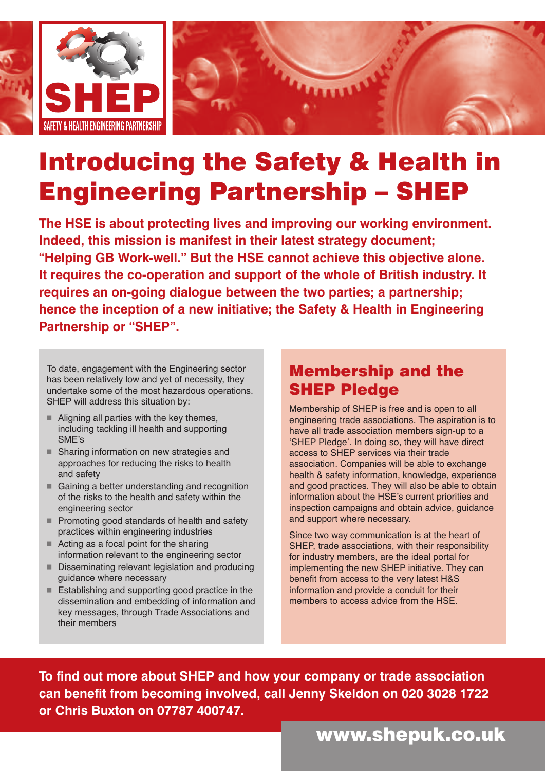

## **Introducing the Safety & Health in Engineering Partnership – SHEP**

**The HSE is about protecting lives and improving our working environment. Indeed, this mission is manifest in their latest strategy document; "Helping GB Work-well." But the HSE cannot achieve this objective alone. It requires the co-operation and support of the whole of British industry. It requires an on-going dialogue between the two parties; a partnership; hence the inception of a new initiative; the Safety & Health in Engineering Partnership or "SHEP".**

To date, engagement with the Engineering sector has been relatively low and yet of necessity, they undertake some of the most hazardous operations. SHEP will address this situation by:

- $\blacksquare$  Aligning all parties with the key themes, including tackling ill health and supporting SME's
- Sharing information on new strategies and approaches for reducing the risks to health and safety
- Gaining a better understanding and recognition of the risks to the health and safety within the engineering sector
- **Promoting good standards of health and safety** practices within engineering industries
- Acting as a focal point for the sharing information relevant to the engineering sector
- Disseminating relevant legislation and producing guidance where necessary
- Establishing and supporting good practice in the dissemination and embedding of information and key messages, through Trade Associations and their members

## **Membership and the SHEP Pledge**

Membership of SHEP is free and is open to all engineering trade associations. The aspiration is to have all trade association members sign-up to a 'SHEP Pledge'. In doing so, they will have direct access to SHEP services via their trade association. Companies will be able to exchange health & safety information, knowledge, experience and good practices. They will also be able to obtain information about the HSE's current priorities and inspection campaigns and obtain advice, guidance and support where necessary.

Since two way communication is at the heart of SHEP, trade associations, with their responsibility for industry members, are the ideal portal for implementing the new SHEP initiative. They can benefit from access to the very latest H&S information and provide a conduit for their members to access advice from the HSE.

**To find out more about SHEP and how your company or trade association can benefit from becoming involved, call Jenny Skeldon on 020 3028 1722 or Chris Buxton on 07787 400747.**

## **www.shepuk.co.uk**